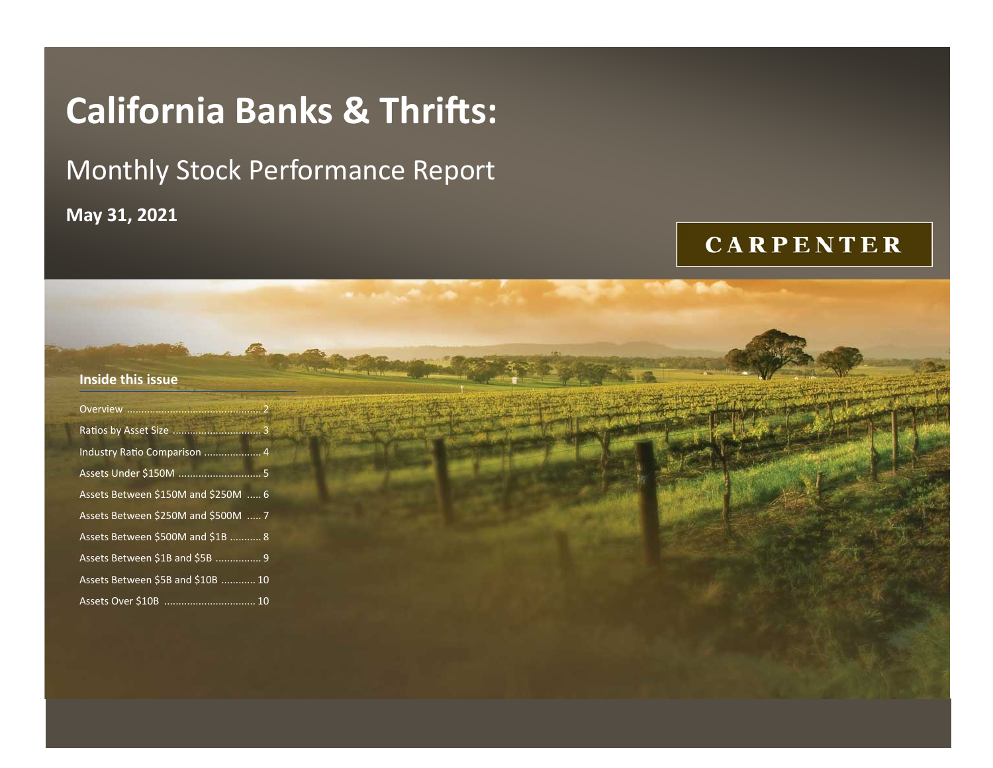# **California Banks & Thrifts:**

## Monthly Stock Performance Report

**May 31, 2021**

## **CARPENTER**

| Inside this issue                   |  |  |  |
|-------------------------------------|--|--|--|
|                                     |  |  |  |
|                                     |  |  |  |
| Industry Ratio Comparison  4        |  |  |  |
|                                     |  |  |  |
| Assets Between \$150M and \$250M  6 |  |  |  |
| Assets Between \$250M and \$500M  7 |  |  |  |
| Assets Between \$500M and \$1B  8   |  |  |  |
| Assets Between \$1B and \$5B  9     |  |  |  |
| Assets Between \$5B and \$10B  10   |  |  |  |
|                                     |  |  |  |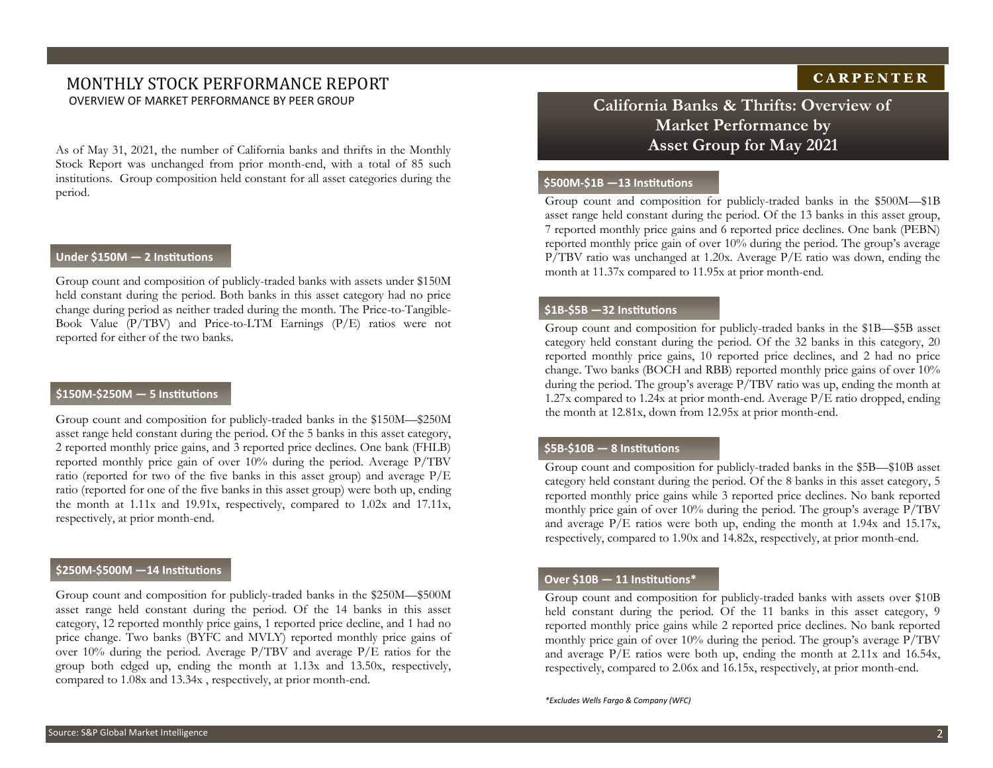#### MONTHLY STOCK PERFORMANCE REPORT OVERVIEW OF MARKET PERFORMANCE BY PEER GROUP **California Banks & Thrifts: Overview of**

As of May 31, 2021, the number of California banks and thrifts in the Monthly Stock Report was unchanged from prior month-end, with a total of 85 such institutions. Group composition held constant for all asset categories during the period.

#### **Under \$150M — 2 Institutions**

Group count and composition of publicly-traded banks with assets under \$150M held constant during the period. Both banks in this asset category had no price change during period as neither traded during the month. The Price-to-Tangible-Book Value (P/TBV) and Price-to-LTM Earnings (P/E) ratios were not reported for either of the two banks.

#### **\$150M-\$250M — 5 Institutions**

Group count and composition for publicly-traded banks in the \$150M—\$250M asset range held constant during the period. Of the 5 banks in this asset category, 2 reported monthly price gains, and 3 reported price declines. One bank (FHLB) reported monthly price gain of over 10% during the period. Average P/TBV ratio (reported for two of the five banks in this asset group) and average P/E ratio (reported for one of the five banks in this asset group) were both up, ending the month at 1.11x and 19.91x, respectively, compared to 1.02x and 17.11x, respectively, at prior month-end.

#### **\$250M-\$500M —14 Institutions**

Group count and composition for publicly-traded banks in the \$250M—\$500M asset range held constant during the period. Of the 14 banks in this asset category, 12 reported monthly price gains, 1 reported price decline, and 1 had no price change. Two banks (BYFC and MVLY) reported monthly price gains of over 10% during the period. Average P/TBV and average P/E ratios for the group both edged up, ending the month at 1.13x and 13.50x, respectively, compared to 1.08x and 13.34x , respectively, at prior month-end.

## **Market Performance by Asset Group for May 2021**

#### **\$500M-\$1B —13 Institutions**

Group count and composition for publicly-traded banks in the \$500M—\$1B asset range held constant during the period. Of the 13 banks in this asset group, 7 reported monthly price gains and 6 reported price declines. One bank (PEBN) reported monthly price gain of over 10% during the period. The group's average P/TBV ratio was unchanged at 1.20x. Average P/E ratio was down, ending the month at 11.37x compared to 11.95x at prior month-end.

#### **\$1B-\$5B —32 Institutions**

Group count and composition for publicly-traded banks in the \$1B—\$5B asset category held constant during the period. Of the 32 banks in this category, 20 reported monthly price gains, 10 reported price declines, and 2 had no price change. Two banks (BOCH and RBB) reported monthly price gains of over 10% during the period. The group's average P/TBV ratio was up, ending the month at 1.27x compared to 1.24x at prior month-end. Average P/E ratio dropped, ending the month at 12.81x, down from 12.95x at prior month-end.

#### **\$5B-\$10B — 8 Institutions**

Group count and composition for publicly-traded banks in the \$5B—\$10B asset category held constant during the period. Of the 8 banks in this asset category, 5 reported monthly price gains while 3 reported price declines. No bank reported monthly price gain of over 10% during the period. The group's average P/TBV and average P/E ratios were both up, ending the month at 1.94x and 15.17x, respectively, compared to 1.90x and 14.82x, respectively, at prior month-end.

#### **Over \$10B — 11 Institutions\***

Group count and composition for publicly-traded banks with assets over \$10B held constant during the period. Of the 11 banks in this asset category, 9 reported monthly price gains while 2 reported price declines. No bank reported monthly price gain of over 10% during the period. The group's average P/TBV and average P/E ratios were both up, ending the month at 2.11x and 16.54x, respectively, compared to 2.06x and 16.15x, respectively, at prior month-end.

*\*Excludes Wells Fargo & Company (WFC)*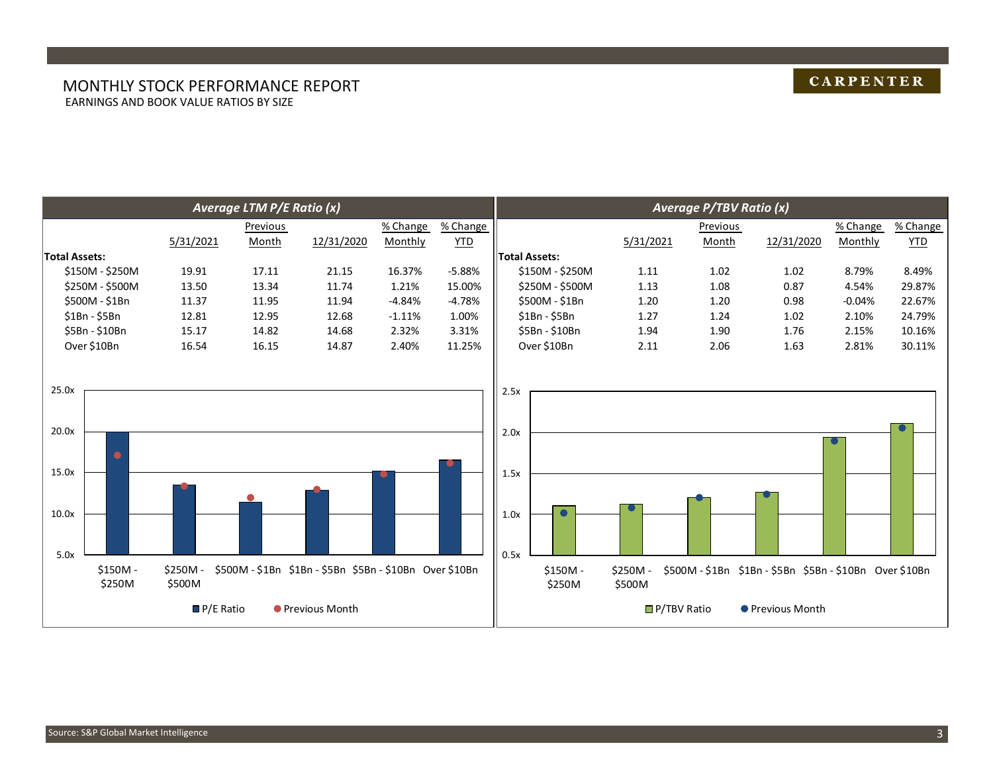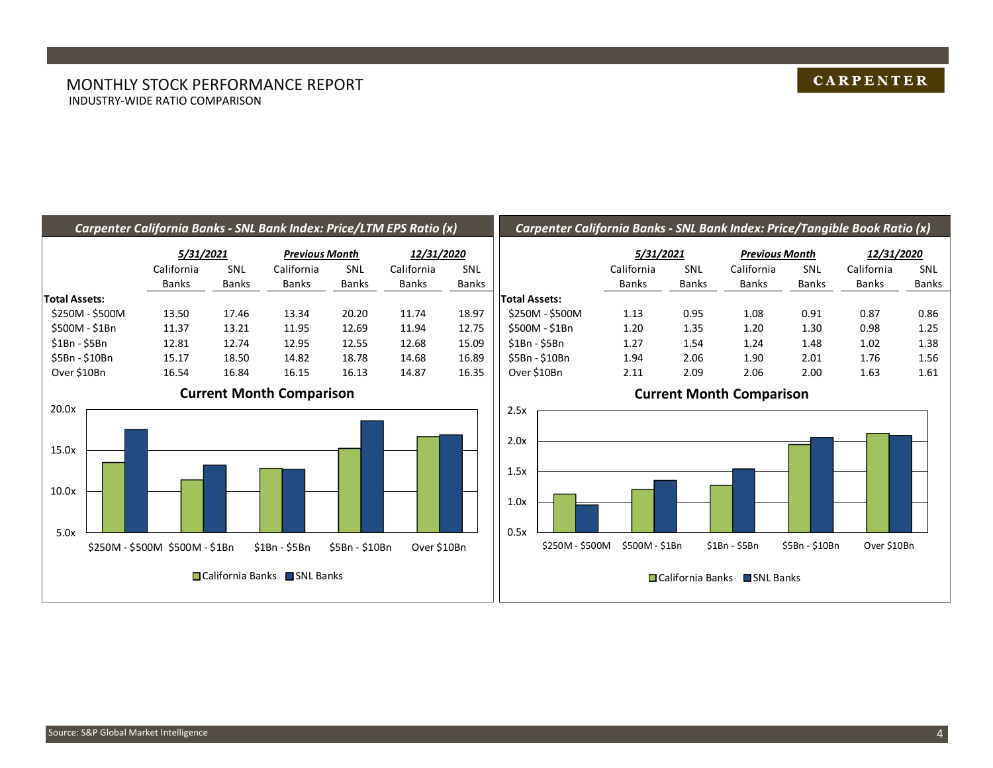#### MONTHLY STOCK PERFORMANCE REPORT INDUSTRY-WIDE RATIO COMPARISON

#### **CARPENTER**

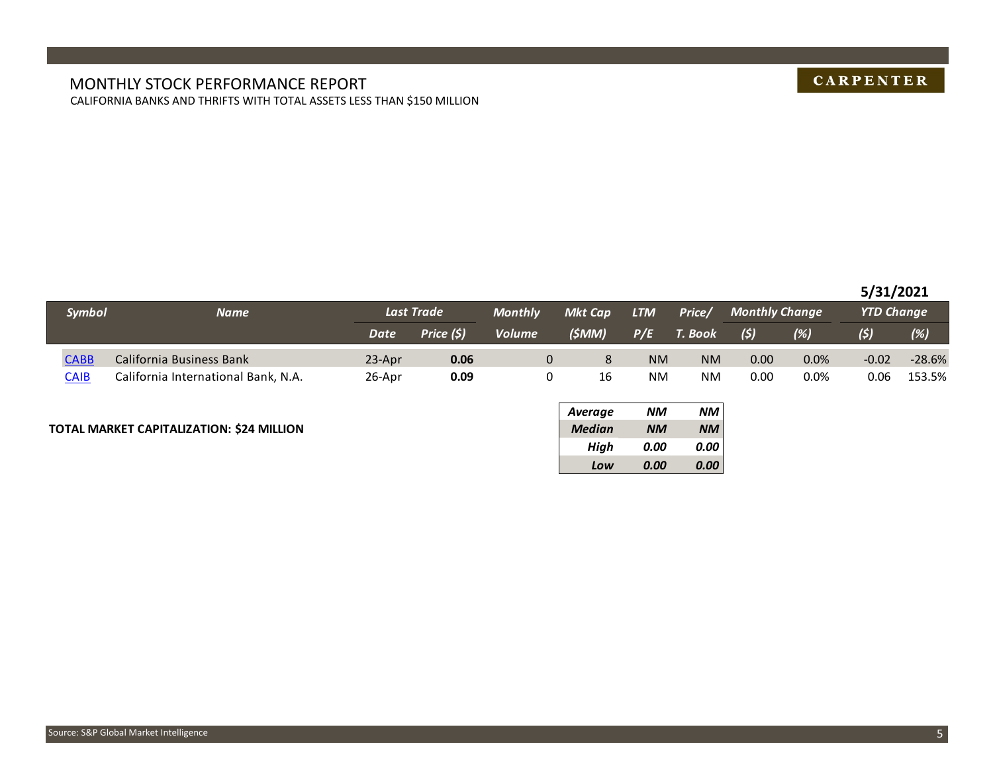#### MONTHLY STOCK PERFORMANCE REPORT CALIFORNIA BANKS AND THRIFTS WITH TOTAL ASSETS LESS THAN \$150 MILLION

## **CARPENTER**

#### **5/31/2021**

| Symbol      | <b>Name</b>                         | Last Trade |            | <b>Monthly</b> | Mkt Cap | <b>LTM</b> | Price/    | <b>Monthly Change</b> |      | <b>YTD Change</b> |          |
|-------------|-------------------------------------|------------|------------|----------------|---------|------------|-----------|-----------------------|------|-------------------|----------|
|             |                                     | Date       | Price (\$) | <b>Volume</b>  | (\$MM)  | P/E        | T. Book   | (5)                   | (%)  | (5)               | (%)      |
| <b>CABB</b> | California Business Bank            | $23-Apr$   | 0.06       |                | 8       | <b>NM</b>  | <b>NM</b> | 0.00                  | 0.0% | $-0.02$           | $-28.6%$ |
| CAIB        | California International Bank, N.A. | 26-Apr     | 0.09       |                | 16      | NM         | <b>NM</b> | 0.00                  | 0.0% | 0.06              | 153.5%   |

#### **TOTAL MARKET CAPITALIZATION: \$24 MILLION** *Median NM NM*

| <b>Average</b> | NМ        | NM        |
|----------------|-----------|-----------|
| <b>Median</b>  | <b>NM</b> | <b>NM</b> |
| High           | 0.00      | 0.00      |
| Low            | 0.00      | 0.00      |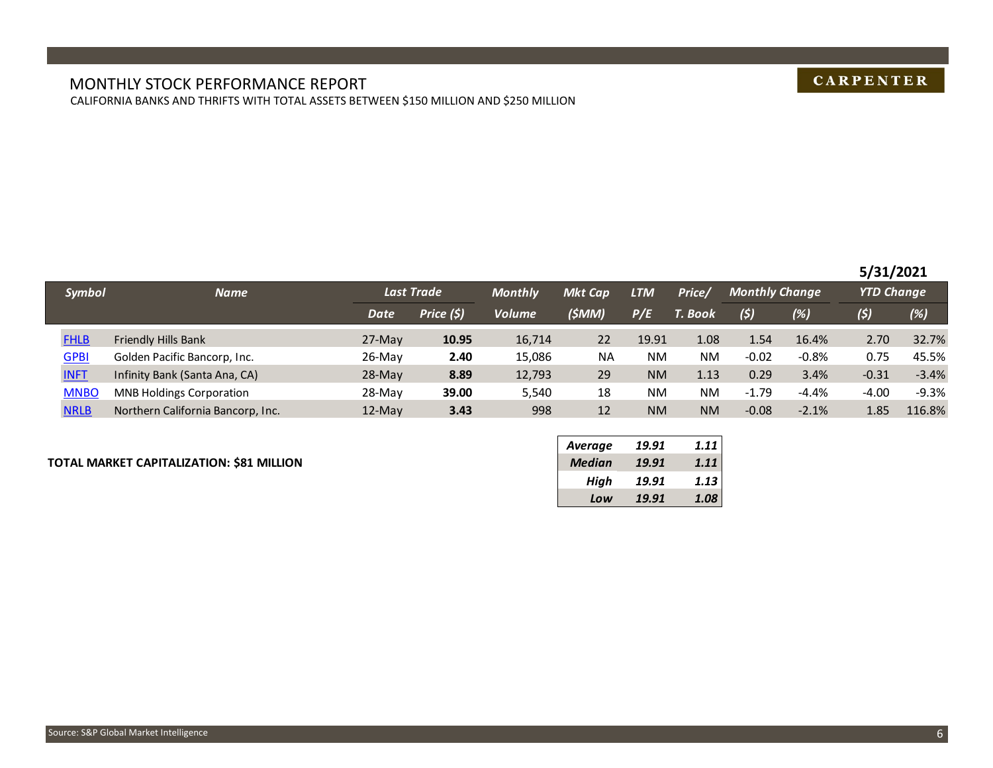#### MONTHLY STOCK PERFORMANCE REPORT CALIFORNIA BANKS AND THRIFTS WITH TOTAL ASSETS BETWEEN \$150 MILLION AND \$250 MILLION

## **CARPENTER**

#### **5/31/2021**

|             | <b>Symbol</b><br><b>Name</b>      |             | <b>Last Trade</b> |               | <b>Mkt Cap</b> | <b>LTM</b> | Price/    | <b>Monthly Change</b> |         | <b>YTD Change</b> |         |
|-------------|-----------------------------------|-------------|-------------------|---------------|----------------|------------|-----------|-----------------------|---------|-------------------|---------|
|             |                                   | <b>Date</b> | Price (\$)        | <b>Volume</b> | (SMM)          | P/E        | T. Book   | (5)                   | $(\%)$  | (5)               | (%)     |
| <b>FHLB</b> | Friendly Hills Bank               | $27$ -May   | 10.95             | 16,714        | 22             | 19.91      | 1.08      | 1.54                  | 16.4%   | 2.70              | 32.7%   |
| <b>GPBI</b> | Golden Pacific Bancorp, Inc.      | $26$ -May   | 2.40              | 15,086        | <b>NA</b>      | NM.        | <b>NM</b> | $-0.02$               | $-0.8%$ | 0.75              | 45.5%   |
| <b>INFT</b> | Infinity Bank (Santa Ana, CA)     | $28-May$    | 8.89              | 12,793        | 29             | <b>NM</b>  | 1.13      | 0.29                  | 3.4%    | $-0.31$           | $-3.4%$ |
| <b>MNBO</b> | <b>MNB Holdings Corporation</b>   | 28-May      | 39.00             | 5,540         | 18             | NM.        | <b>NM</b> | $-1.79$               | $-4.4%$ | $-4.00$           | $-9.3%$ |
| <b>NRLB</b> | Northern California Bancorp, Inc. | $12$ -May   | 3.43              | 998           | 12             | <b>NM</b>  | <b>NM</b> | $-0.08$               | $-2.1%$ | 1.85              | 116.8%  |

#### **TOTAL MARKET CAPITALIZATION: \$81 MILLION** *Median 19.91 1.11*

| Average       | 19.91 | 1.11 |
|---------------|-------|------|
| <b>Median</b> | 19.91 | 1.11 |
| High          | 19.91 | 1.13 |
| Low           | 19.91 | 1.08 |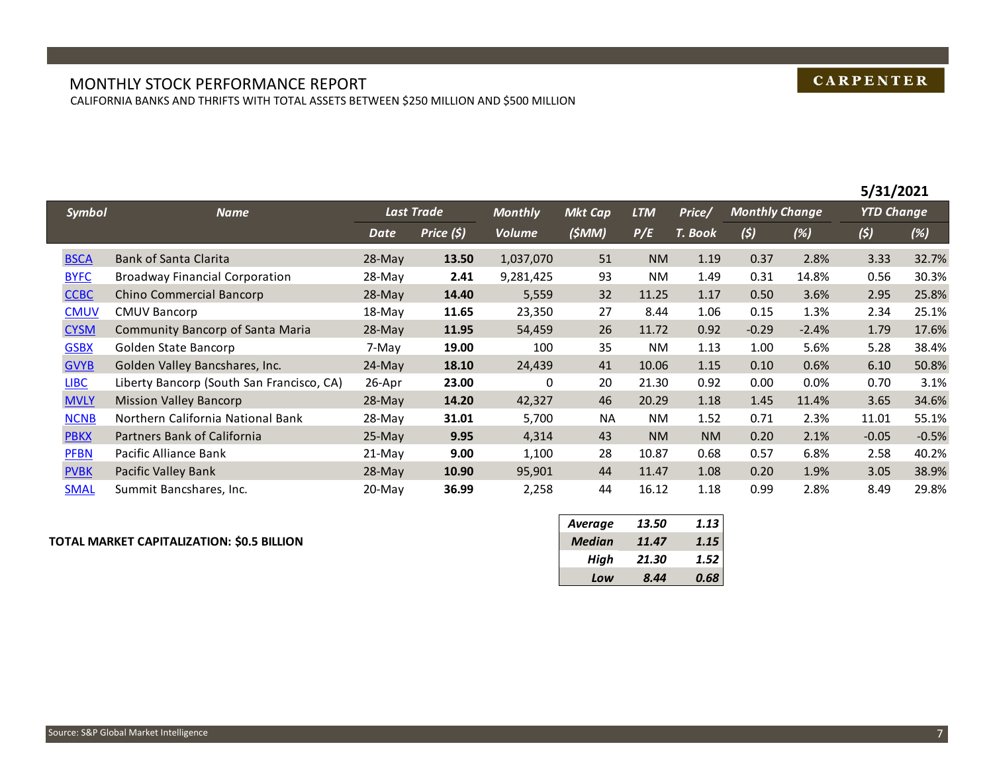#### MONTHLY STOCK PERFORMANCE REPORT CALIFORNIA BANKS AND THRIFTS WITH TOTAL ASSETS BETWEEN \$250 MILLION AND \$500 MILLION

|               |                                           |           |            |                |                |            |           |                       |         | 5/31/2021         |         |
|---------------|-------------------------------------------|-----------|------------|----------------|----------------|------------|-----------|-----------------------|---------|-------------------|---------|
| <b>Symbol</b> | <b>Name</b>                               |           | Last Trade | <b>Monthly</b> | <b>Mkt Cap</b> | <b>LTM</b> | Price/    | <b>Monthly Change</b> |         | <b>YTD Change</b> |         |
|               |                                           | Date      | Price (\$) | <b>Volume</b>  | (5MM)          | P/E        | T. Book   | (5)                   | (%)     | (5)               | (%)     |
| <b>BSCA</b>   | <b>Bank of Santa Clarita</b>              | $28-Mav$  | 13.50      | 1,037,070      | 51             | <b>NM</b>  | 1.19      | 0.37                  | 2.8%    | 3.33              | 32.7%   |
| <b>BYFC</b>   | <b>Broadway Financial Corporation</b>     | 28-May    | 2.41       | 9,281,425      | 93             | NM         | 1.49      | 0.31                  | 14.8%   | 0.56              | 30.3%   |
| <b>CCBC</b>   | Chino Commercial Bancorp                  | $28$ -May | 14.40      | 5,559          | 32             | 11.25      | 1.17      | 0.50                  | 3.6%    | 2.95              | 25.8%   |
| <b>CMUV</b>   | <b>CMUV Bancorp</b>                       | 18-May    | 11.65      | 23,350         | 27             | 8.44       | 1.06      | 0.15                  | 1.3%    | 2.34              | 25.1%   |
| <b>CYSM</b>   | <b>Community Bancorp of Santa Maria</b>   | $28$ -May | 11.95      | 54,459         | 26             | 11.72      | 0.92      | $-0.29$               | $-2.4%$ | 1.79              | 17.6%   |
| <b>GSBX</b>   | Golden State Bancorp                      | 7-May     | 19.00      | 100            | 35             | NM         | 1.13      | 1.00                  | 5.6%    | 5.28              | 38.4%   |
| <b>GVYB</b>   | Golden Valley Bancshares, Inc.            | $24$ -May | 18.10      | 24,439         | 41             | 10.06      | 1.15      | 0.10                  | 0.6%    | 6.10              | 50.8%   |
| <b>LIBC</b>   | Liberty Bancorp (South San Francisco, CA) | 26-Apr    | 23.00      | 0              | 20             | 21.30      | 0.92      | 0.00                  | 0.0%    | 0.70              | 3.1%    |
| <b>MVLY</b>   | <b>Mission Valley Bancorp</b>             | $28-Mav$  | 14.20      | 42,327         | 46             | 20.29      | 1.18      | 1.45                  | 11.4%   | 3.65              | 34.6%   |
| <b>NCNB</b>   | Northern California National Bank         | 28-May    | 31.01      | 5,700          | <b>NA</b>      | NM         | 1.52      | 0.71                  | 2.3%    | 11.01             | 55.1%   |
| <b>PBKX</b>   | Partners Bank of California               | $25$ -May | 9.95       | 4,314          | 43             | <b>NM</b>  | <b>NM</b> | 0.20                  | 2.1%    | $-0.05$           | $-0.5%$ |
| <b>PFBN</b>   | Pacific Alliance Bank                     | $21$ -May | 9.00       | 1,100          | 28             | 10.87      | 0.68      | 0.57                  | 6.8%    | 2.58              | 40.2%   |
| <b>PVBK</b>   | Pacific Valley Bank                       | $28$ -May | 10.90      | 95,901         | 44             | 11.47      | 1.08      | 0.20                  | 1.9%    | 3.05              | 38.9%   |
| <b>SMAL</b>   | Summit Bancshares, Inc.                   | 20-May    | 36.99      | 2,258          | 44             | 16.12      | 1.18      | 0.99                  | 2.8%    | 8.49              | 29.8%   |

#### **TOTAL MARKET CAPITALIZATION: \$0.5 BILLION** *Median 11.47 1.15*

| <b>Average</b> | 13.50 | 1.13 |
|----------------|-------|------|
| Median         | 11.47 | 1.15 |
| High           | 21.30 | 1.52 |
| Low            | 8.44  | 0.68 |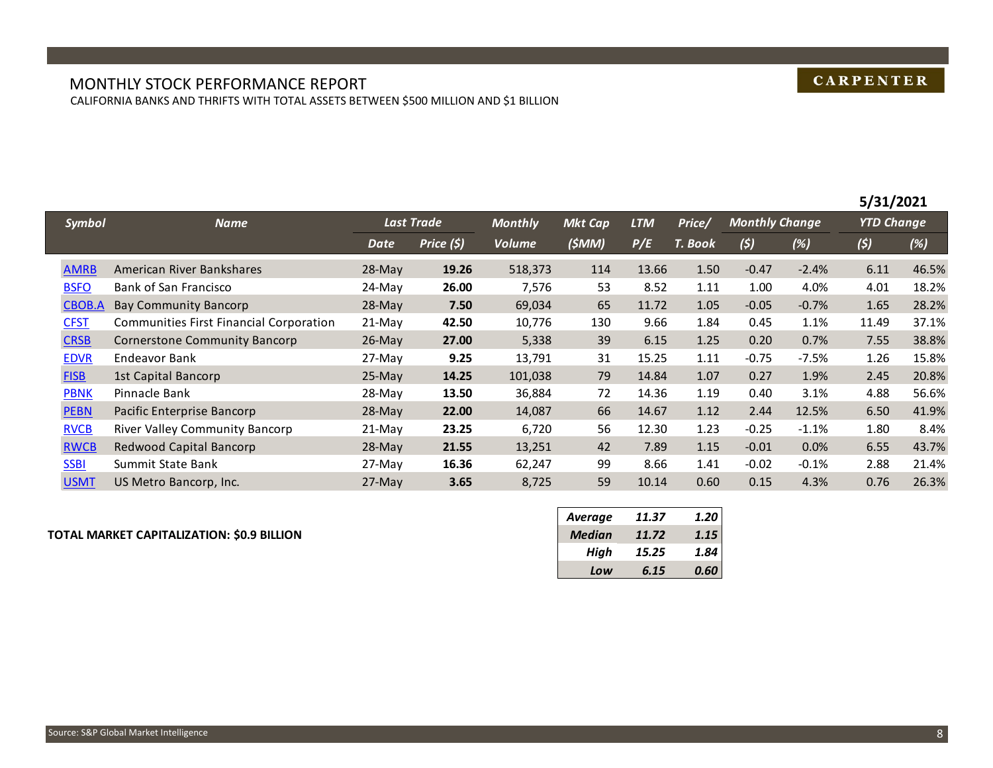## **CARPENTER**

**5/31/2021**

#### MONTHLY STOCK PERFORMANCE REPORT CALIFORNIA BANKS AND THRIFTS WITH TOTAL ASSETS BETWEEN \$500 MILLION AND \$1 BILLION

|               |                                         |             |             |                |                |            |         |                       |         | 5/31/2021         |       |
|---------------|-----------------------------------------|-------------|-------------|----------------|----------------|------------|---------|-----------------------|---------|-------------------|-------|
| Symbol        | <b>Name</b>                             |             | Last Trade  | <b>Monthly</b> | <b>Mkt Cap</b> | <b>LTM</b> | Price/  | <b>Monthly Change</b> |         | <b>YTD Change</b> |       |
|               |                                         | <b>Date</b> | Price $(5)$ | <b>Volume</b>  | (SMM)          | P/E        | T. Book | (5)                   | (%)     | (5)               | (%)   |
| <b>AMRB</b>   | American River Bankshares               | $28-Mav$    | 19.26       | 518,373        | 114            | 13.66      | 1.50    | $-0.47$               | $-2.4%$ | 6.11              | 46.5% |
| <b>BSFO</b>   | Bank of San Francisco                   | 24-May      | 26.00       | 7,576          | 53             | 8.52       | 1.11    | 1.00                  | 4.0%    | 4.01              | 18.2% |
| <b>CBOB.A</b> | <b>Bay Community Bancorp</b>            | $28$ -May   | 7.50        | 69,034         | 65             | 11.72      | 1.05    | $-0.05$               | $-0.7%$ | 1.65              | 28.2% |
| <b>CFST</b>   | Communities First Financial Corporation | $21-Mav$    | 42.50       | 10,776         | 130            | 9.66       | 1.84    | 0.45                  | 1.1%    | 11.49             | 37.1% |
| <b>CRSB</b>   | Cornerstone Community Bancorp           | $26$ -May   | 27.00       | 5,338          | 39             | 6.15       | 1.25    | 0.20                  | 0.7%    | 7.55              | 38.8% |
| <b>EDVR</b>   | Endeavor Bank                           | 27-May      | 9.25        | 13,791         | 31             | 15.25      | 1.11    | $-0.75$               | $-7.5%$ | 1.26              | 15.8% |
| <b>FISB</b>   | 1st Capital Bancorp                     | $25-Mav$    | 14.25       | 101,038        | 79             | 14.84      | 1.07    | 0.27                  | 1.9%    | 2.45              | 20.8% |
| <b>PBNK</b>   | Pinnacle Bank                           | 28-May      | 13.50       | 36,884         | 72             | 14.36      | 1.19    | 0.40                  | 3.1%    | 4.88              | 56.6% |
| <b>PEBN</b>   | Pacific Enterprise Bancorp              | $28-Mav$    | 22.00       | 14,087         | 66             | 14.67      | 1.12    | 2.44                  | 12.5%   | 6.50              | 41.9% |
| <b>RVCB</b>   | River Valley Community Bancorp          | $21-Mav$    | 23.25       | 6,720          | 56             | 12.30      | 1.23    | $-0.25$               | $-1.1%$ | 1.80              | 8.4%  |
| <b>RWCB</b>   | Redwood Capital Bancorp                 | $28-Mav$    | 21.55       | 13,251         | 42             | 7.89       | 1.15    | $-0.01$               | 0.0%    | 6.55              | 43.7% |
| <b>SSBI</b>   | Summit State Bank                       | $27$ -May   | 16.36       | 62,247         | 99             | 8.66       | 1.41    | $-0.02$               | $-0.1%$ | 2.88              | 21.4% |
| <b>USMT</b>   | US Metro Bancorp, Inc.                  | $27$ -May   | 3.65        | 8,725          | 59             | 10.14      | 0.60    | 0.15                  | 4.3%    | 0.76              | 26.3% |

#### **TOTAL MARKET CAPITALIZATION: \$0.9 BILLION** *Median 11.72 1.15*

| Average       | 11.37 | 1.20 |
|---------------|-------|------|
| <b>Median</b> | 11.72 | 1.15 |
| High          | 15.25 | 1.84 |
| Low           | 6.15  | 0.60 |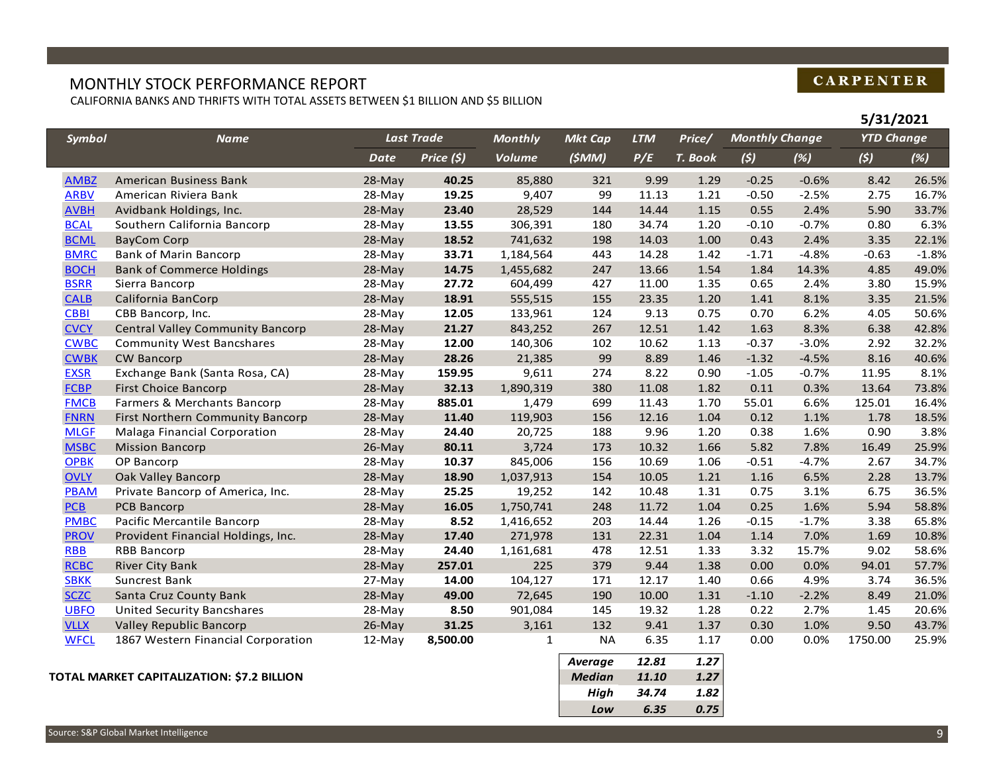## MONTHLY STOCK PERFORMANCE REPORT

CALIFORNIA BANKS AND THRIFTS WITH TOTAL ASSETS BETWEEN \$1 BILLION AND \$5 BILLION

|               |                                         |             |                   |                |                |                |         |                       |         | J/ J1/ LVL1       |         |
|---------------|-----------------------------------------|-------------|-------------------|----------------|----------------|----------------|---------|-----------------------|---------|-------------------|---------|
| <b>Symbol</b> | <b>Name</b>                             |             | <b>Last Trade</b> | <b>Monthly</b> | <b>Mkt Cap</b> | <b>LTM</b>     | Price/  | <b>Monthly Change</b> |         | <b>YTD Change</b> |         |
|               |                                         | <b>Date</b> | Price (\$)        | <b>Volume</b>  | (\$MM)         | P/E            | T. Book | (5)                   | (%)     | (5)               | (%)     |
| <b>AMBZ</b>   | American Business Bank                  | 28-May      | 40.25             | 85,880         | 321            | 9.99           | 1.29    | $-0.25$               | $-0.6%$ | 8.42              | 26.5%   |
| <b>ARBV</b>   | American Riviera Bank                   | 28-May      | 19.25             | 9,407          | 99             | 11.13          | 1.21    | $-0.50$               | $-2.5%$ | 2.75              | 16.7%   |
| <b>AVBH</b>   | Avidbank Holdings, Inc.                 | 28-May      | 23.40             | 28,529         | 144            | 14.44          | 1.15    | 0.55                  | 2.4%    | 5.90              | 33.7%   |
| <b>BCAL</b>   | Southern California Bancorp             | 28-May      | 13.55             | 306,391        | 180            | 34.74          | 1.20    | $-0.10$               | $-0.7%$ | 0.80              | 6.3%    |
| <b>BCML</b>   | <b>BayCom Corp</b>                      | 28-May      | 18.52             | 741,632        | 198            | 14.03          | 1.00    | 0.43                  | 2.4%    | 3.35              | 22.1%   |
| <b>BMRC</b>   | <b>Bank of Marin Bancorp</b>            | 28-May      | 33.71             | 1,184,564      | 443            | 14.28          | 1.42    | $-1.71$               | $-4.8%$ | $-0.63$           | $-1.8%$ |
| <b>BOCH</b>   | <b>Bank of Commerce Holdings</b>        | 28-May      | 14.75             | 1,455,682      | 247            | 13.66          | 1.54    | 1.84                  | 14.3%   | 4.85              | 49.0%   |
| <b>BSRR</b>   | Sierra Bancorp                          | 28-May      | 27.72             | 604,499        | 427            | 11.00          | 1.35    | 0.65                  | 2.4%    | 3.80              | 15.9%   |
| <b>CALB</b>   | California BanCorp                      | 28-May      | 18.91             | 555,515        | 155            | 23.35          | 1.20    | 1.41                  | 8.1%    | 3.35              | 21.5%   |
| <b>CBBI</b>   | CBB Bancorp, Inc.                       | 28-May      | 12.05             | 133,961        | 124            | 9.13           | 0.75    | 0.70                  | 6.2%    | 4.05              | 50.6%   |
| <b>CVCY</b>   | <b>Central Valley Community Bancorp</b> | 28-May      | 21.27             | 843,252        | 267            | 12.51          | 1.42    | 1.63                  | 8.3%    | 6.38              | 42.8%   |
| <b>CWBC</b>   | <b>Community West Bancshares</b>        | 28-May      | 12.00             | 140,306        | 102            | 10.62          | 1.13    | $-0.37$               | $-3.0%$ | 2.92              | 32.2%   |
| <b>CWBK</b>   | <b>CW Bancorp</b>                       | 28-May      | 28.26             | 21,385         | 99             | 8.89           | 1.46    | $-1.32$               | $-4.5%$ | 8.16              | 40.6%   |
| <b>EXSR</b>   | Exchange Bank (Santa Rosa, CA)          | 28-May      | 159.95            | 9,611          | 274            | 8.22           | 0.90    | $-1.05$               | $-0.7%$ | 11.95             | 8.1%    |
| <b>FCBP</b>   | <b>First Choice Bancorp</b>             | 28-May      | 32.13             | 1,890,319      | 380            | 11.08          | 1.82    | 0.11                  | 0.3%    | 13.64             | 73.8%   |
| <b>FMCB</b>   | Farmers & Merchants Bancorp             | 28-May      | 885.01            | 1,479          | 699            | 11.43          | 1.70    | 55.01                 | 6.6%    | 125.01            | 16.4%   |
| <b>FNRN</b>   | First Northern Community Bancorp        | 28-May      | 11.40             | 119,903        | 156            | 12.16          | 1.04    | 0.12                  | 1.1%    | 1.78              | 18.5%   |
| <b>MLGF</b>   | Malaga Financial Corporation            | 28-May      | 24.40             | 20,725         | 188            | 9.96           | 1.20    | 0.38                  | 1.6%    | 0.90              | 3.8%    |
| <b>MSBC</b>   | <b>Mission Bancorp</b>                  | 26-May      | 80.11             | 3,724          | 173            | 10.32          | 1.66    | 5.82                  | 7.8%    | 16.49             | 25.9%   |
| <b>OPBK</b>   | OP Bancorp                              | 28-May      | 10.37             | 845,006        | 156            | 10.69          | 1.06    | $-0.51$               | $-4.7%$ | 2.67              | 34.7%   |
| <b>OVLY</b>   | Oak Valley Bancorp                      | 28-May      | 18.90             | 1,037,913      | 154            | 10.05          | 1.21    | 1.16                  | 6.5%    | 2.28              | 13.7%   |
| <b>PBAM</b>   | Private Bancorp of America, Inc.        | 28-May      | 25.25             | 19,252         | 142            | 10.48          | 1.31    | 0.75                  | 3.1%    | 6.75              | 36.5%   |
| PCB           | PCB Bancorp                             | 28-May      | 16.05             | 1,750,741      | 248            | 11.72          | 1.04    | 0.25                  | 1.6%    | 5.94              | 58.8%   |
| <b>PMBC</b>   | Pacific Mercantile Bancorp              | 28-May      | 8.52              | 1,416,652      | 203            | 14.44          | 1.26    | $-0.15$               | $-1.7%$ | 3.38              | 65.8%   |
| <b>PROV</b>   | Provident Financial Holdings, Inc.      | 28-May      | 17.40             | 271,978        | 131            | 22.31          | 1.04    | 1.14                  | 7.0%    | 1.69              | 10.8%   |
| <b>RBB</b>    | <b>RBB Bancorp</b>                      | 28-May      | 24.40             | 1,161,681      | 478            | 12.51          | 1.33    | 3.32                  | 15.7%   | 9.02              | 58.6%   |
| <b>RCBC</b>   | <b>River City Bank</b>                  | 28-May      | 257.01            | 225            | 379            | 9.44           | 1.38    | 0.00                  | 0.0%    | 94.01             | 57.7%   |
| <b>SBKK</b>   | Suncrest Bank                           | 27-May      | 14.00             | 104,127        | 171            | 12.17          | 1.40    | 0.66                  | 4.9%    | 3.74              | 36.5%   |
| <b>SCZC</b>   | Santa Cruz County Bank                  | 28-May      | 49.00             | 72,645         | 190            | 10.00          | 1.31    | $-1.10$               | $-2.2%$ | 8.49              | 21.0%   |
| <b>UBFO</b>   | <b>United Security Bancshares</b>       | 28-May      | 8.50              | 901,084        | 145            | 19.32          | 1.28    | 0.22                  | 2.7%    | 1.45              | 20.6%   |
| <b>VLLX</b>   | Valley Republic Bancorp                 | $26$ -May   | 31.25             | 3,161          | 132            | 9.41           | 1.37    | 0.30                  | 1.0%    | 9.50              | 43.7%   |
| <b>WFCL</b>   | 1867 Western Financial Corporation      | 12-May      | 8,500.00          | $\mathbf{1}$   | <b>NA</b>      | 6.35           | 1.17    | 0.00                  | 0.0%    | 1750.00           | 25.9%   |
|               |                                         |             |                   |                | <b>Average</b> | 12.81          | 1.27    |                       |         |                   |         |
|               |                                         |             |                   |                | .              | $\overline{a}$ |         |                       |         |                   |         |

#### **TOTAL MARKET CAPITALIZATION: \$7.2 BILLION** *Median 11.10 1.27*

| <b>Average</b> | 12.81 | 1.27 |
|----------------|-------|------|
| <b>Median</b>  | 11.10 | 1.27 |
| High           | 34.74 | 1.82 |
| Low            | 6.35  | 0.75 |

## **CARPENTER**

**5/31/2021**